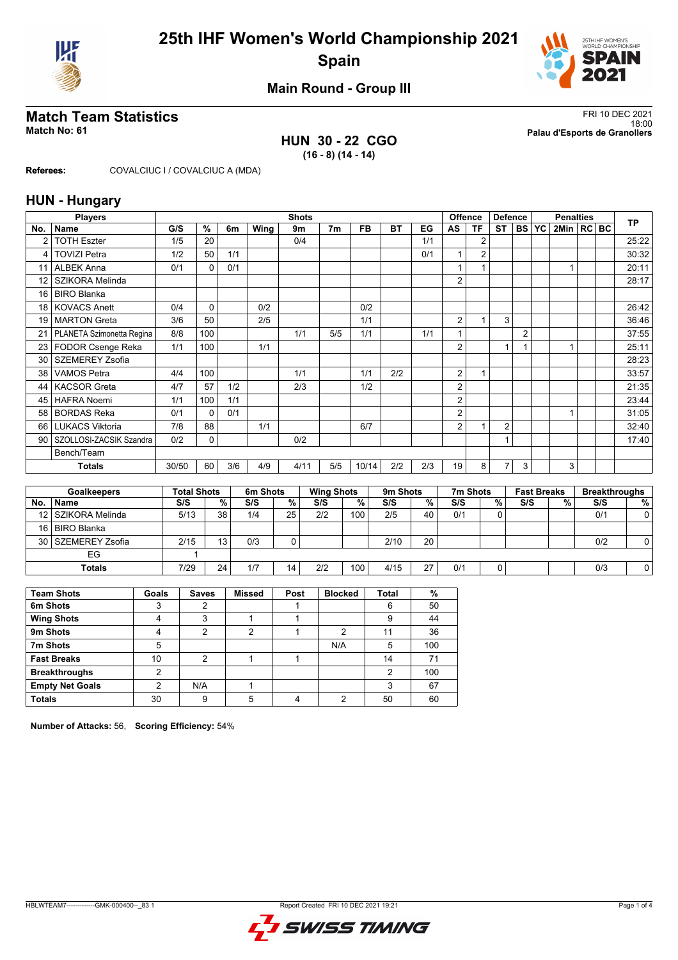



## **Main Round - Group III**

### **HUN 30 - 22 CGO (16 - 8) (14 - 14)**

**Match Team Statistics** FRI 10 DEC 2021 18:00 **Match No: 61 Palau d'Esports de Granollers**

**Referees:** COVALCIUC I / COVALCIUC A (MDA)

### **HUN - Hungary**

|                 | <b>Players</b>            |                    |               |      |          | <b>Shots</b> |      |                   |           |          |      | <b>Offence</b> |                | <b>Defence</b> |                |                    | <b>Penalties</b> |     | <b>TP</b>            |
|-----------------|---------------------------|--------------------|---------------|------|----------|--------------|------|-------------------|-----------|----------|------|----------------|----------------|----------------|----------------|--------------------|------------------|-----|----------------------|
| No.             | <b>Name</b>               | G/S                | $\frac{9}{6}$ | 6m   | Wing     | 9m           |      | 7 <sub>m</sub>    | <b>FB</b> | BT       | EG   | AS             | <b>TF</b>      | ST             | <b>BS YC</b>   |                    | 2Min   RC BC     |     |                      |
| $\overline{2}$  | <b>TOTH Eszter</b>        | 1/5                | 20            |      |          | 0/4          |      |                   |           |          | 1/1  |                | $\overline{2}$ |                |                |                    |                  |     | 25:22                |
| 4               | <b>TOVIZI Petra</b>       | 1/2                | 50            | 1/1  |          |              |      |                   |           |          | 0/1  | 1              | $\overline{2}$ |                |                |                    |                  |     | 30:32                |
| 11              | <b>ALBEK Anna</b>         | 0/1                | $\Omega$      | 0/1  |          |              |      |                   |           |          |      |                |                |                |                |                    | 1                |     | 20:11                |
| 12              | SZIKORA Melinda           |                    |               |      |          |              |      |                   |           |          |      | $\overline{2}$ |                |                |                |                    |                  |     | 28:17                |
| 16              | <b>BIRO Blanka</b>        |                    |               |      |          |              |      |                   |           |          |      |                |                |                |                |                    |                  |     |                      |
| 18              | <b>KOVACS Anett</b>       | 0/4                | $\Omega$      |      | 0/2      |              |      |                   | 0/2       |          |      |                |                |                |                |                    |                  |     | 26:42                |
| 19              | <b>MARTON</b> Greta       | 3/6                | 50            |      | 2/5      |              |      |                   | 1/1       |          |      | $\overline{2}$ | 1              | 3              |                |                    |                  |     | 36:46                |
| 21              | PLANETA Szimonetta Regina | 8/8                | 100           |      |          | 1/1          |      | 5/5               | 1/1       |          | 1/1  |                |                |                | $\overline{2}$ |                    |                  |     | 37:55                |
| 23 <sub>1</sub> | FODOR Csenge Reka         | 1/1                | 100           |      | 1/1      |              |      |                   |           |          |      | $\overline{2}$ |                | 1              |                |                    | 1                |     | 25:11                |
| 30              | <b>SZEMEREY Zsofia</b>    |                    |               |      |          |              |      |                   |           |          |      |                |                |                |                |                    |                  |     | 28:23                |
| 38              | <b>VAMOS Petra</b>        | 4/4                | 100           |      |          | 1/1          |      |                   | 1/1       | 2/2      |      | $\overline{2}$ | 1              |                |                |                    |                  |     | 33:57                |
| 44              | <b>KACSOR Greta</b>       | 4/7                | 57            | 1/2  |          | 2/3          |      |                   | 1/2       |          |      | $\overline{2}$ |                |                |                |                    |                  |     | 21:35                |
| 45              | <b>HAFRA Noemi</b>        | 1/1                | 100           | 1/1  |          |              |      |                   |           |          |      | $\overline{2}$ |                |                |                |                    |                  |     | 23:44                |
| 58              | <b>BORDAS Reka</b>        | 0/1                | $\Omega$      | 0/1  |          |              |      |                   |           |          |      | $\overline{2}$ |                |                |                |                    | 1                |     | 31:05                |
| 66              | <b>LUKACS Viktoria</b>    | 7/8                | 88            |      | 1/1      |              |      |                   | 6/7       |          |      | $\overline{2}$ | 1              | 2              |                |                    |                  |     | 32:40                |
| 90              | SZOLLOSI-ZACSIK Szandra   | 0/2                | 0             |      |          | 0/2          |      |                   |           |          |      |                |                | $\mathbf{1}$   |                |                    |                  |     | 17:40                |
|                 | Bench/Team                |                    |               |      |          |              |      |                   |           |          |      |                |                |                |                |                    |                  |     |                      |
|                 | <b>Totals</b>             | 30/50              | 60            | 3/6  | 4/9      |              | 4/11 | 5/5               | 10/14     | 2/2      | 2/3  | 19             | 8              | $\overline{7}$ | 3              |                    | 3                |     |                      |
|                 |                           |                    |               |      |          |              |      |                   |           |          |      |                |                |                |                |                    |                  |     |                      |
|                 | <b>Goalkeepers</b>        | <b>Total Shots</b> |               |      | 6m Shots |              |      | <b>Wing Shots</b> |           | 9m Shots |      |                | 7m Shots       |                |                | <b>Fast Breaks</b> |                  |     | <b>Breakthroughs</b> |
| No.             | <b>Name</b>               | S/S                |               | $\%$ | S/S      | $\%$         | S/S  |                   | %         | S/S      | $\%$ | S/S            |                | %              | S/S            |                    | $\%$             | S/S | $\%$                 |
| 12              | <b>SZIKORA Melinda</b>    | 5/13               |               | 38   | 1/4      | 25           | 2/2  |                   | 100       | 2/5      | 40   | 0/1            |                | $\Omega$       |                |                    |                  | 0/1 | 0                    |
| 16              | <b>BIRO Blanka</b>        |                    |               |      |          |              |      |                   |           |          |      |                |                |                |                |                    |                  |     |                      |
| 30              | <b>SZEMEREY Zsofia</b>    | 2/15               |               | 13   | 0/3      | $\mathbf 0$  |      |                   |           | 2/10     | 20   |                |                |                |                |                    |                  | 0/2 | 0                    |
|                 | EG                        |                    | 1             |      |          |              |      |                   |           |          |      |                |                |                |                |                    |                  |     |                      |
|                 | <b>Totals</b>             | 7/29               |               | 24   | 1/7      | 14           | 2/2  |                   | 100       | 4/15     | 27   | 0/1            |                | 0              |                |                    |                  | 0/3 | 0                    |

| <b>Team Shots</b>      | Goals | <b>Saves</b> | <b>Missed</b> | Post | <b>Blocked</b> | <b>Total</b> | %   |
|------------------------|-------|--------------|---------------|------|----------------|--------------|-----|
| 6m Shots               |       |              |               |      |                | 6            | 50  |
| <b>Wing Shots</b>      | 4     | 3            |               |      |                | 9            | 44  |
| 9m Shots               |       | ◠            | っ             |      | ົ              | 11           | 36  |
| 7m Shots               | 5     |              |               |      | N/A            | 5            | 100 |
| <b>Fast Breaks</b>     | 10    | ົ            |               |      |                | 14           | 71  |
| <b>Breakthroughs</b>   | 2     |              |               |      |                | 2            | 100 |
| <b>Empty Net Goals</b> | ◠     | N/A          |               |      |                |              | 67  |
| <b>Totals</b>          | 30    | 9            |               |      | ົ              | 50           | 60  |

**Number of Attacks:** 56, **Scoring Efficiency:** 54%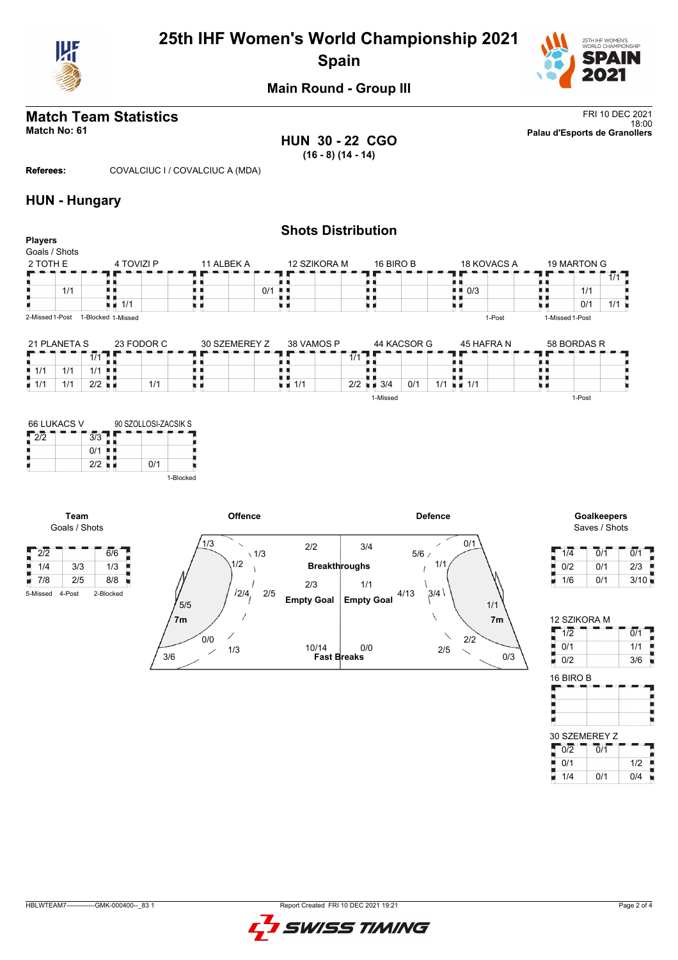

# **25th IHF Women's World Championship 2021 Spain**



## **Main Round - Group III**

**HUN 30 - 22 CGO (16 - 8) (14 - 14)**

**Match Team Statistics** FRI 10 DEC 2021 18:00 **Match No: 61 Palau d'Esports de Granollers**

**Referees:** COVALCIUC I / COVALCIUC A (MDA)

### **HUN - Hungary**

| <b>Players</b>     |     |                      |                    |               |                                   | <b>Shots Distribution</b>       |             |                 |
|--------------------|-----|----------------------|--------------------|---------------|-----------------------------------|---------------------------------|-------------|-----------------|
| Goals / Shots      |     |                      |                    |               |                                   |                                 |             |                 |
| 2 TOTH E           |     |                      | 4 TOVIZI P         | 11 ALBEK A    | 12 SZIKORA M                      | 16 BIRO B                       | 18 KOVACS A | 19 MARTON G     |
|                    |     |                      |                    |               |                                   |                                 |             | $1/1$ L         |
|                    | 1/1 |                      |                    |               | 0/1<br>. .                        |                                 | 0/3<br>. .  | 1/1             |
|                    |     |                      | 1/1<br>u a         |               |                                   |                                 |             | 0/1<br>1/1      |
| 2-Missed 1-Post    |     |                      | 1-Blocked 1-Missed |               |                                   |                                 | 1-Post      | 1-Missed 1-Post |
| 21 PLANETA S       |     |                      | 23 FODOR C         | 30 SZEMEREY Z | 38 VAMOS P                        | 44 KACSOR G                     | 45 HAFRA N  | 58 BORDAS R     |
|                    |     | 1/1                  |                    |               |                                   | 1/1                             |             |                 |
| 1/1                | 1/1 | 1/1                  | . .                |               |                                   |                                 |             |                 |
| $\blacksquare$ 1/1 | 1/1 | $2/2$ $\blacksquare$ | 1/1                |               | $\blacksquare$ $\blacksquare$ 1/1 | $2/2$ $\blacksquare$ 3/4<br>0/1 | $1/1 = 1/1$ |                 |
|                    |     |                      |                    |               |                                   | 1-Missed                        |             | 1-Post          |

| 66 LUKACS V |     | 90 SZOLLOSI-ZACSIK S |           |
|-------------|-----|----------------------|-----------|
| 2/2         | 3/3 |                      |           |
|             | 0/1 |                      |           |
|             | 2/2 | 0/1                  |           |
|             |     |                      | 1-Blocked |

**Team**



Saves / Shots

| 1/4 | 0/1 | 0/1  |
|-----|-----|------|
| 0/2 | 0/1 | 2/3  |
| 1/6 | 0/1 | 3/10 |

| 12 SZIKORA M |     |
|--------------|-----|
| 1/2          | 0/1 |
| 0/1          | 1/1 |
| 0/2          | 3/6 |
| 16 BIRO B    |     |
|              |     |
|              |     |

× I 30 SZEMEREY Z  $0/2$  0/1 Ê 0/1 1/2 F 1/4 0/1 0/4

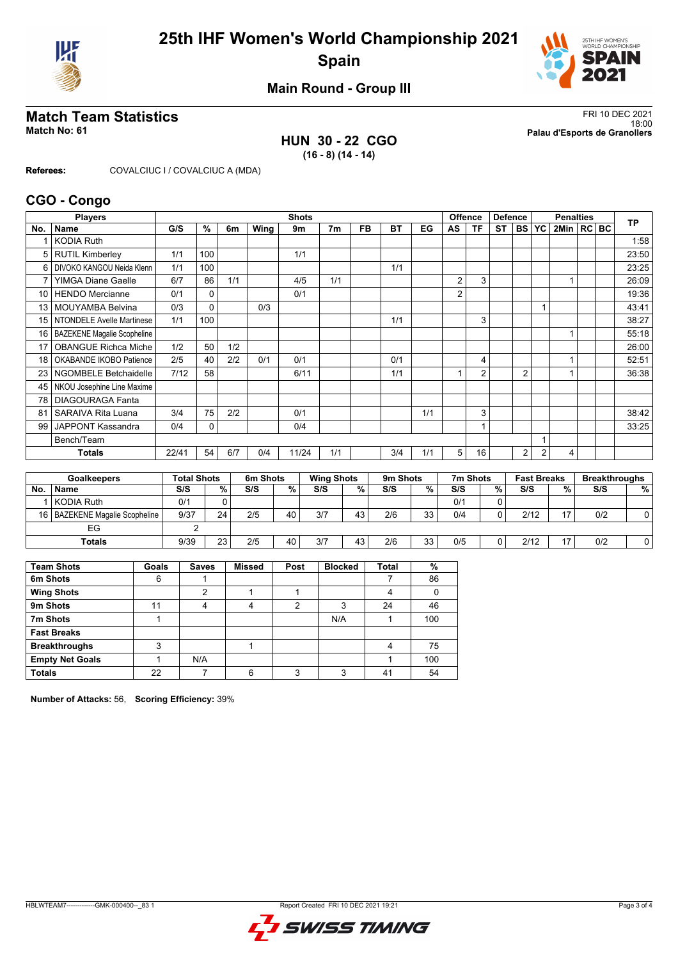



## **Main Round - Group III**

### **HUN 30 - 22 CGO (16 - 8) (14 - 14)**

**Match Team Statistics** FRI 10 DEC 2021 18:00 **Match No: 61 Palau d'Esports de Granollers**

**Referees:** COVALCIUC I / COVALCIUC A (MDA)

### **CGO - Congo**

|                 | <b>Players</b>              |       |          |     |      | <b>Shots</b> |                |           |     |     | <b>Offence</b> |                | <b>Defence</b> |                |                | <b>Penalties</b> |  | <b>TP</b> |
|-----------------|-----------------------------|-------|----------|-----|------|--------------|----------------|-----------|-----|-----|----------------|----------------|----------------|----------------|----------------|------------------|--|-----------|
| No.             | <b>Name</b>                 | G/S   | %        | 6m  | Wing | 9m           | 7 <sub>m</sub> | <b>FB</b> | ВT  | EG  | AS             | <b>TF</b>      | ST             | <b>BS</b>      | YC             | 2Min   RC   BC   |  |           |
|                 | <b>KODIA Ruth</b>           |       |          |     |      |              |                |           |     |     |                |                |                |                |                |                  |  | 1:58      |
| 5               | <b>RUTIL Kimberley</b>      | 1/1   | 100      |     |      | 1/1          |                |           |     |     |                |                |                |                |                |                  |  | 23:50     |
| 6               | DIVOKO KANGOU Neida Klenn   | 1/1   | 100      |     |      |              |                |           | 1/1 |     |                |                |                |                |                |                  |  | 23:25     |
| $\overline{7}$  | <b>YIMGA Diane Gaelle</b>   | 6/7   | 86       | 1/1 |      | 4/5          | 1/1            |           |     |     | $\overline{2}$ | 3              |                |                |                |                  |  | 26:09     |
| 10 <sup>1</sup> | <b>HENDO</b> Mercianne      | 0/1   | 0        |     |      | 0/1          |                |           |     |     | $\overline{2}$ |                |                |                |                |                  |  | 19:36     |
| 13              | <b>MOUYAMBA Belvina</b>     | 0/3   | $\Omega$ |     | 0/3  |              |                |           |     |     |                |                |                |                |                |                  |  | 43:41     |
| 15 <sub>1</sub> | NTONDELE Avelle Martinese   | 1/1   | 100      |     |      |              |                |           | 1/1 |     |                | 3              |                |                |                |                  |  | 38:27     |
| 16 <sup>1</sup> | BAZEKENE Magalie Scopheline |       |          |     |      |              |                |           |     |     |                |                |                |                |                |                  |  | 55:18     |
| 17              | <b>OBANGUE Richca Miche</b> | 1/2   | 50       | 1/2 |      |              |                |           |     |     |                |                |                |                |                |                  |  | 26:00     |
| 18              | OKABANDE IKOBO Patience     | 2/5   | 40       | 2/2 | 0/1  | 0/1          |                |           | 0/1 |     |                | 4              |                |                |                |                  |  | 52:51     |
| 23 <sub>1</sub> | NGOMBELE Betchaidelle       | 7/12  | 58       |     |      | 6/11         |                |           | 1/1 |     |                | $\overline{2}$ |                | $\overline{2}$ |                |                  |  | 36:38     |
| 45              | NKOU Josephine Line Maxime  |       |          |     |      |              |                |           |     |     |                |                |                |                |                |                  |  |           |
| 78              | <b>DIAGOURAGA Fanta</b>     |       |          |     |      |              |                |           |     |     |                |                |                |                |                |                  |  |           |
| 81              | SARAIVA Rita Luana          | 3/4   | 75       | 2/2 |      | 0/1          |                |           |     | 1/1 |                | 3              |                |                |                |                  |  | 38:42     |
| 99              | <b>JAPPONT Kassandra</b>    | 0/4   | 0        |     |      | 0/4          |                |           |     |     |                | 1              |                |                |                |                  |  | 33:25     |
|                 | Bench/Team                  |       |          |     |      |              |                |           |     |     |                |                |                |                |                |                  |  |           |
|                 | <b>Totals</b>               | 22/41 | 54       | 6/7 | 0/4  | 11/24        | 1/1            |           | 3/4 | 1/1 | 5 <sub>1</sub> | 16             |                | $\overline{2}$ | $\overline{2}$ | 4                |  |           |
|                 |                             |       |          |     |      |              |                |           |     |     |                |                |                |                |                |                  |  |           |

|     | <b>Goalkeepers</b>               | <b>Total Shots</b> |    | 6m Shots |        | <b>Wing Shots</b> |    | 9m Shots |    | 7m Shots |   | <b>Fast Breaks</b> |    | <b>Breakthroughs</b> |                |
|-----|----------------------------------|--------------------|----|----------|--------|-------------------|----|----------|----|----------|---|--------------------|----|----------------------|----------------|
| No. | <b>Name</b>                      | S/S                | %  | S/S      | $\%$ . | S/S               | %  | S/S      | %  | S/S      | % | S/S                | %  | S/S                  | %              |
|     | l KODIA Ruth                     | 0/1                |    |          |        |                   |    |          |    | 0/1      |   |                    |    |                      |                |
|     | 16   BAZEKENE Magalie Scopheline | 9/37               | 24 | 2/5      | 40     | 3/7               | 43 | 2/6      | 33 | 0/4      | 0 | 2/12               | 17 | 0/2                  |                |
|     | EG                               |                    |    |          |        |                   |    |          |    |          |   |                    |    |                      |                |
|     | Totals                           | 9/39               | 23 | 2/5      | 40     | 3/7               | 43 | 2/6      | 33 | 0/5      | 0 | 2/12               | 17 | 0/2                  | $\overline{0}$ |

| <b>Team Shots</b>      | Goals | <b>Saves</b> | <b>Missed</b> | Post | <b>Blocked</b> | <b>Total</b> | %   |
|------------------------|-------|--------------|---------------|------|----------------|--------------|-----|
| 6m Shots               | 6     |              |               |      |                |              | 86  |
| <b>Wing Shots</b>      |       | 2            |               |      |                |              |     |
| 9m Shots               | 11    | 4            | 4             | 2    | 3              | 24           | 46  |
| 7m Shots               |       |              |               |      | N/A            |              | 100 |
| <b>Fast Breaks</b>     |       |              |               |      |                |              |     |
| <b>Breakthroughs</b>   | 3     |              |               |      |                | 4            | 75  |
| <b>Empty Net Goals</b> |       | N/A          |               |      |                |              | 100 |
| <b>Totals</b>          | 22    |              | 6             | ົ    | ว              | 41           | 54  |

**Number of Attacks:** 56, **Scoring Efficiency:** 39%